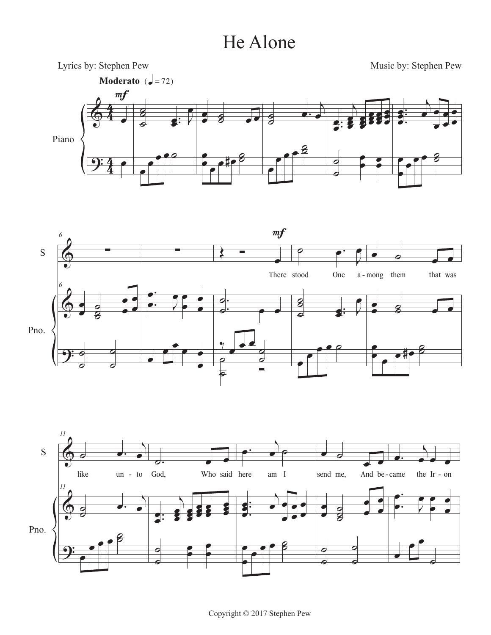## He Alone







Copyright © 2017 Stephen Pew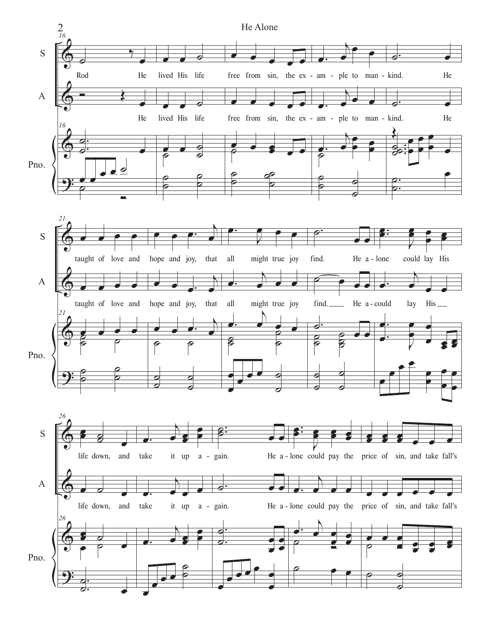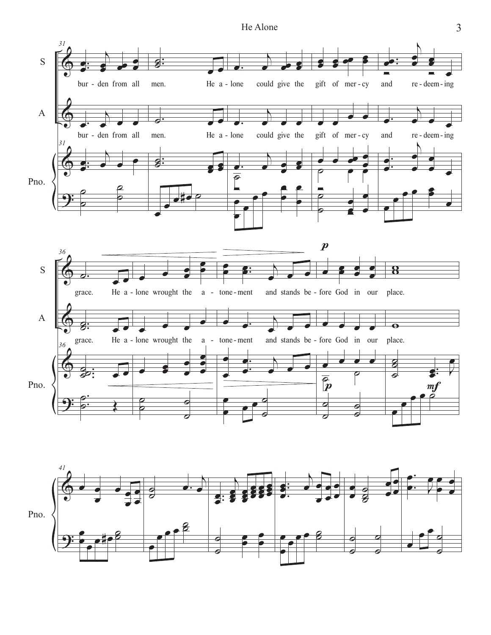He Alone



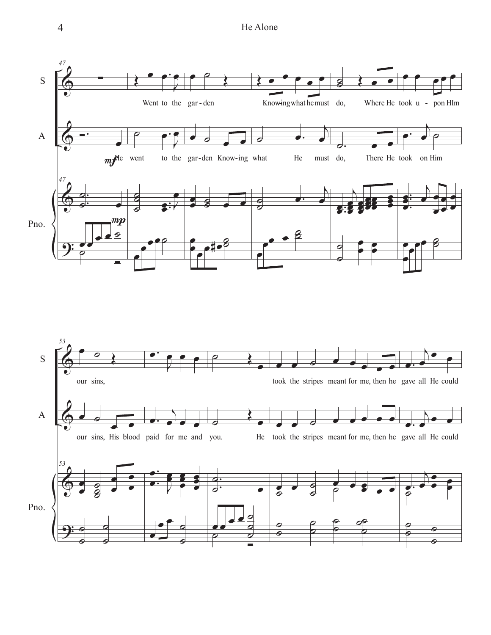

 $\overline{4}$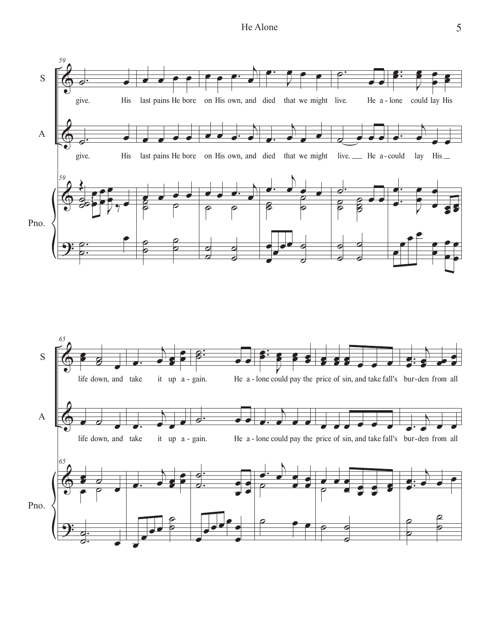